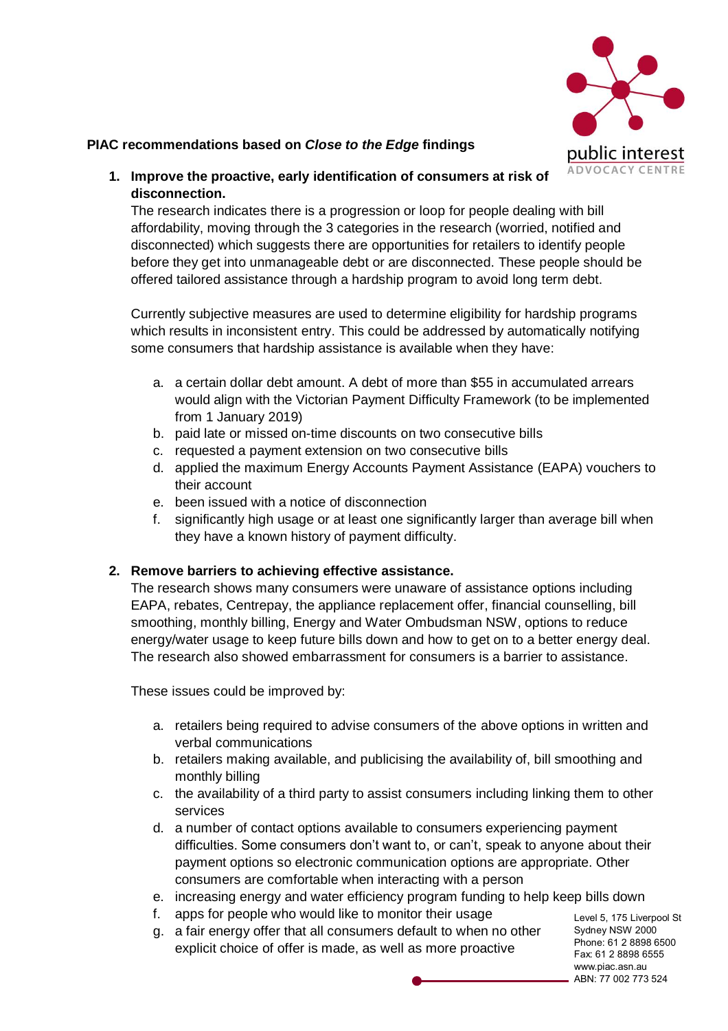

## **PIAC recommendations based on** *Close to the Edge* **findings**

**1. Improve the proactive, early identification of consumers at risk of disconnection.**

The research indicates there is a progression or loop for people dealing with bill affordability, moving through the 3 categories in the research (worried, notified and disconnected) which suggests there are opportunities for retailers to identify people before they get into unmanageable debt or are disconnected. These people should be offered tailored assistance through a hardship program to avoid long term debt.

Currently subjective measures are used to determine eligibility for hardship programs which results in inconsistent entry. This could be addressed by automatically notifying some consumers that hardship assistance is available when they have:

- a. a certain dollar debt amount. A debt of more than \$55 in accumulated arrears would align with the Victorian Payment Difficulty Framework (to be implemented from 1 January 2019)
- b. paid late or missed on-time discounts on two consecutive bills
- c. requested a payment extension on two consecutive bills
- d. applied the maximum Energy Accounts Payment Assistance (EAPA) vouchers to their account
- e. been issued with a notice of disconnection
- f. significantly high usage or at least one significantly larger than average bill when they have a known history of payment difficulty.

## **2. Remove barriers to achieving effective assistance.**

The research shows many consumers were unaware of assistance options including EAPA, rebates, Centrepay, the appliance replacement offer, financial counselling, bill smoothing, monthly billing, Energy and Water Ombudsman NSW, options to reduce energy/water usage to keep future bills down and how to get on to a better energy deal. The research also showed embarrassment for consumers is a barrier to assistance.

These issues could be improved by:

- a. retailers being required to advise consumers of the above options in written and verbal communications
- b. retailers making available, and publicising the availability of, bill smoothing and monthly billing
- c. the availability of a third party to assist consumers including linking them to other services
- d. a number of contact options available to consumers experiencing payment difficulties. Some consumers don't want to, or can't, speak to anyone about their payment options so electronic communication options are appropriate. Other consumers are comfortable when interacting with a person
- e. increasing energy and water efficiency program funding to help keep bills down
- f. apps for people who would like to monitor their usage
- g. a fair energy offer that all consumers default to when no other explicit choice of offer is made, as well as more proactive

Level 5, 175 Liverpool St Sydney NSW 2000 Phone: 61 2 8898 6500 Fax: 61 2 8898 6555 www.piac.asn.au ABN: 77 002 773 524